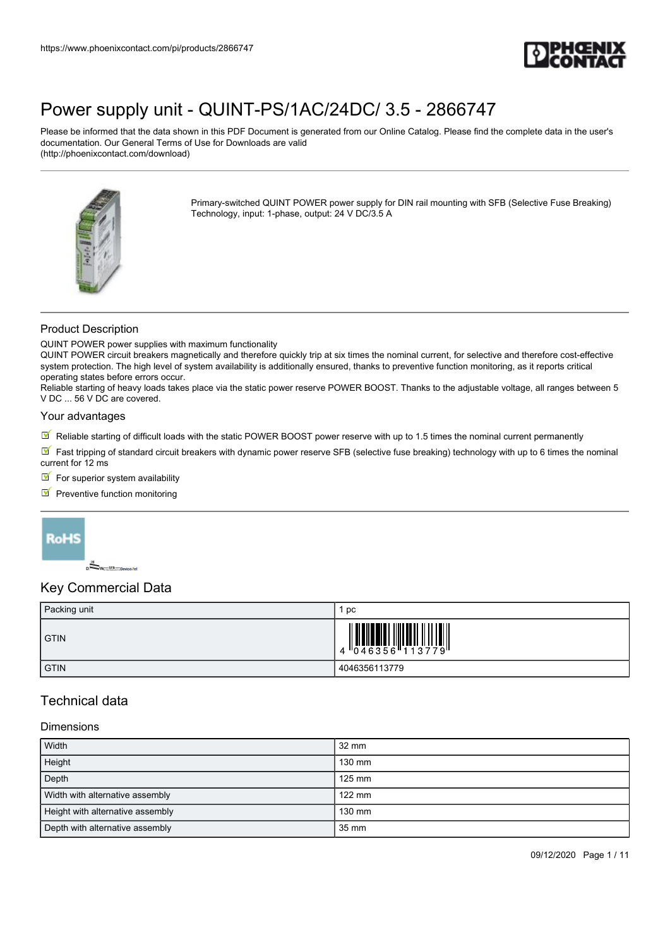

Please be informed that the data shown in this PDF Document is generated from our Online Catalog. Please find the complete data in the user's documentation. Our General Terms of Use for Downloads are valid (http://phoenixcontact.com/download)



Primary-switched QUINT POWER power supply for DIN rail mounting with SFB (Selective Fuse Breaking) Technology, input: 1-phase, output: 24 V DC/3.5 A

## Product Description

QUINT POWER power supplies with maximum functionality

QUINT POWER circuit breakers magnetically and therefore quickly trip at six times the nominal current, for selective and therefore cost-effective system protection. The high level of system availability is additionally ensured, thanks to preventive function monitoring, as it reports critical operating states before errors occur.

Reliable starting of heavy loads takes place via the static power reserve POWER BOOST. Thanks to the adjustable voltage, all ranges between 5 V DC ... 56 V DC are covered.

#### Your advantages

 $\mathbb{F}$  Reliable starting of difficult loads with the static POWER BOOST power reserve with up to 1.5 times the nominal current permanently

Fast tripping of standard circuit breakers with dynamic power reserve SFB (selective fuse breaking) technology with up to 6 times the nominal current for 12 ms

 $\blacksquare$  For superior system availability

 $\blacksquare$  Preventive function monitoring



## Key Commercial Data

| Packing unit | рc                                                                                                                                                                                                                                                                                                                                                                                                                                                                                                                      |
|--------------|-------------------------------------------------------------------------------------------------------------------------------------------------------------------------------------------------------------------------------------------------------------------------------------------------------------------------------------------------------------------------------------------------------------------------------------------------------------------------------------------------------------------------|
| <b>GTIN</b>  | $\left \begin{array}{c} 1 \\ 4 \end{array}\right  \left \begin{array}{c} 1 \\ 0 \\ 4 \end{array}\right  \left \begin{array}{c} 1 \\ 0 \\ 4 \end{array}\right  \left \begin{array}{c} 1 \\ 0 \\ 1 \end{array}\right  \left \begin{array}{c} 1 \\ 1 \\ 1 \end{array}\right  \left \begin{array}{c} 1 \\ 1 \\ 1 \end{array}\right  \left \begin{array}{c} 1 \\ 1 \\ 1 \end{array}\right  \left \begin{array}{c} 1 \\ 1 \\ 1 \end{array}\right  \left \begin{array}{c} 1 \\ 1 \\ 1 \end{array}\right  \left \begin{array}{$ |
| <b>GTIN</b>  | 4046356113779                                                                                                                                                                                                                                                                                                                                                                                                                                                                                                           |

## Technical data

#### Dimensions

| <b>Width</b>                     | $32 \text{ mm}$  |
|----------------------------------|------------------|
| Height                           | 130 mm           |
| Depth                            | $125$ mm         |
| Width with alternative assembly  | $122 \text{ mm}$ |
| Height with alternative assembly | 130 mm           |
| Depth with alternative assembly  | 35 mm            |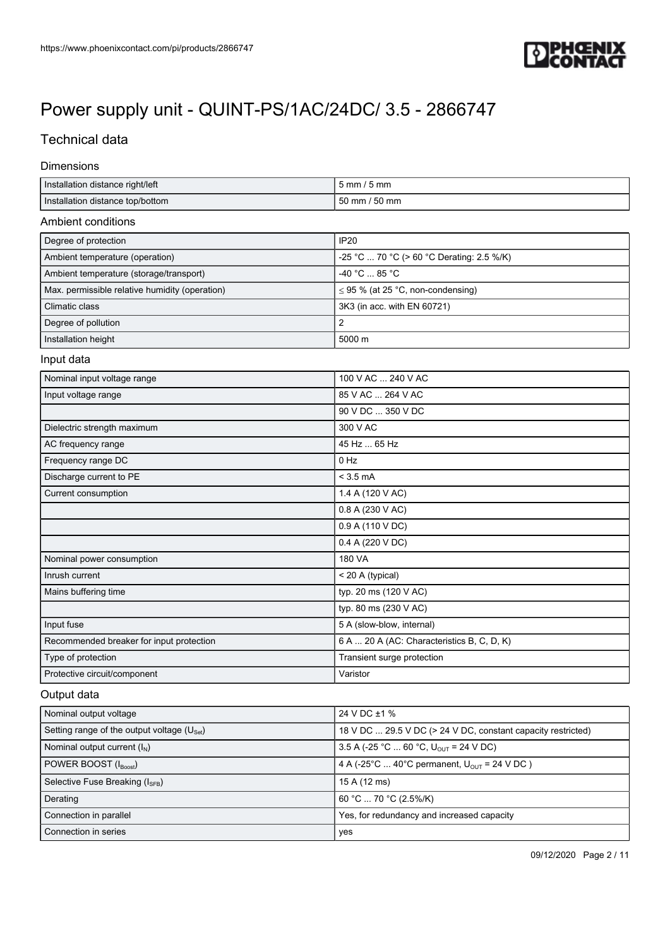

## Technical data

#### Dimensions

| Installation distance right/left                        | 5 mm / 5 mm                                                  |
|---------------------------------------------------------|--------------------------------------------------------------|
| Installation distance top/bottom                        | 50 mm / 50 mm                                                |
| Ambient conditions                                      |                                                              |
| Degree of protection                                    | <b>IP20</b>                                                  |
| Ambient temperature (operation)                         | -25 °C  70 °C (> 60 °C Derating: 2.5 %/K)                    |
| Ambient temperature (storage/transport)                 | $-40 °C  85 °C$                                              |
| Max. permissible relative humidity (operation)          | $\leq$ 95 % (at 25 °C, non-condensing)                       |
| Climatic class                                          | 3K3 (in acc. with EN 60721)                                  |
| Degree of pollution                                     | 2                                                            |
| Installation height                                     | 5000 m                                                       |
| Input data                                              |                                                              |
| Nominal input voltage range                             | 100 V AC  240 V AC                                           |
| Input voltage range                                     | 85 V AC  264 V AC                                            |
|                                                         | 90 V DC  350 V DC                                            |
| Dielectric strength maximum                             | 300 V AC                                                     |
| AC frequency range                                      | 45 Hz  65 Hz                                                 |
| Frequency range DC                                      | $0$ Hz                                                       |
| Discharge current to PE                                 | $<$ 3.5 mA                                                   |
| Current consumption                                     | 1.4 A (120 V AC)                                             |
|                                                         | 0.8 A (230 V AC)                                             |
|                                                         | 0.9 A (110 V DC)                                             |
|                                                         | 0.4 A (220 V DC)                                             |
| Nominal power consumption                               | 180 VA                                                       |
| Inrush current                                          | < 20 A (typical)                                             |
| Mains buffering time                                    | typ. 20 ms (120 V AC)                                        |
|                                                         | typ. 80 ms (230 V AC)                                        |
| Input fuse                                              | 5 A (slow-blow, internal)                                    |
| Recommended breaker for input protection                | 6 A  20 A (AC: Characteristics B, C, D, K)                   |
| Type of protection                                      | Transient surge protection                                   |
| Protective circuit/component                            | Varistor                                                     |
| Output data                                             |                                                              |
| Nominal output voltage                                  | 24 V DC ±1 %                                                 |
| Setting range of the output voltage (U <sub>Set</sub> ) | 18 V DC  29.5 V DC (> 24 V DC, constant capacity restricted) |
| Nominal output current $(I_N)$                          | 3.5 A (-25 °C  60 °C, $U_{\text{OUT}}$ = 24 V DC)            |
| POWER BOOST (IBoost)                                    | 4 A (-25°C  40°C permanent, $U_{OUT}$ = 24 V DC)             |
| Selective Fuse Breaking (I <sub>SFB</sub> )             | 15 A (12 ms)                                                 |
| Derating                                                | 60 °C  70 °C (2.5%/K)                                        |
| Connection in parallel                                  | Yes, for redundancy and increased capacity                   |

Connection in series yes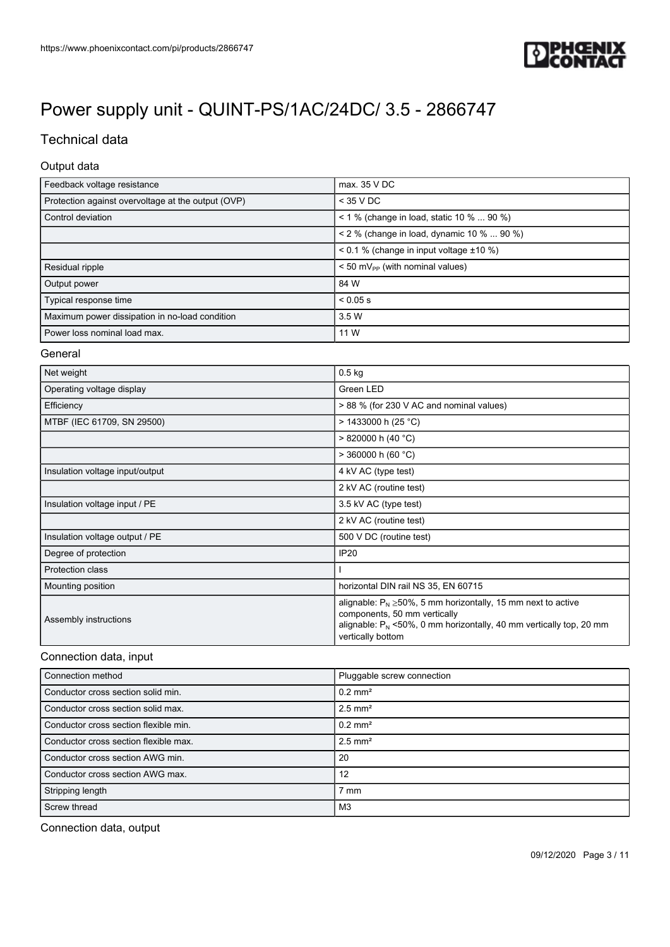![](_page_2_Picture_1.jpeg)

## Technical data

## Output data

| Feedback voltage resistance                        | max. 35 V DC                                  |
|----------------------------------------------------|-----------------------------------------------|
| Protection against overvoltage at the output (OVP) | $<$ 35 V DC                                   |
| Control deviation                                  | < 1 % (change in load, static 10 %  90 %)     |
|                                                    | < 2 % (change in load, dynamic 10 %  90 %)    |
|                                                    | $0.1$ % (change in input voltage $\pm 10$ %)  |
| Residual ripple                                    | $< 50$ mV <sub>pp</sub> (with nominal values) |
| Output power                                       | 84 W                                          |
| Typical response time                              | $< 0.05$ s                                    |
| Maximum power dissipation in no-load condition     | 3.5 W                                         |
| Power loss nominal load max.                       | 11 W                                          |

#### General

| Net weight                      | $0.5$ kg                                                                                                                                                                                          |
|---------------------------------|---------------------------------------------------------------------------------------------------------------------------------------------------------------------------------------------------|
| Operating voltage display       | Green LED                                                                                                                                                                                         |
| Efficiency                      | > 88 % (for 230 V AC and nominal values)                                                                                                                                                          |
| MTBF (IEC 61709, SN 29500)      | $> 1433000$ h (25 °C)                                                                                                                                                                             |
|                                 | $> 820000$ h (40 °C)                                                                                                                                                                              |
|                                 | $>$ 360000 h (60 °C)                                                                                                                                                                              |
| Insulation voltage input/output | 4 kV AC (type test)                                                                                                                                                                               |
|                                 | 2 kV AC (routine test)                                                                                                                                                                            |
| Insulation voltage input / PE   | 3.5 kV AC (type test)                                                                                                                                                                             |
|                                 | 2 kV AC (routine test)                                                                                                                                                                            |
| Insulation voltage output / PE  | 500 V DC (routine test)                                                                                                                                                                           |
| Degree of protection            | <b>IP20</b>                                                                                                                                                                                       |
| Protection class                |                                                                                                                                                                                                   |
| Mounting position               | horizontal DIN rail NS 35, EN 60715                                                                                                                                                               |
| Assembly instructions           | alignable: $P_N \ge 50\%$ , 5 mm horizontally, 15 mm next to active<br>components, 50 mm vertically<br>alignable: $P_N$ <50%, 0 mm horizontally, 40 mm vertically top, 20 mm<br>vertically bottom |

### Connection data, input

| Connection method                     | Pluggable screw connection |
|---------------------------------------|----------------------------|
| Conductor cross section solid min.    | $0.2$ mm <sup>2</sup>      |
| Conductor cross section solid max.    | $2.5$ mm <sup>2</sup>      |
| Conductor cross section flexible min. | $0.2$ mm <sup>2</sup>      |
| Conductor cross section flexible max. | $2.5$ mm <sup>2</sup>      |
| Conductor cross section AWG min.      | 20                         |
| Conductor cross section AWG max.      | 12                         |
| Stripping length                      | $7 \text{ mm}$             |
| Screw thread                          | M <sub>3</sub>             |

Connection data, output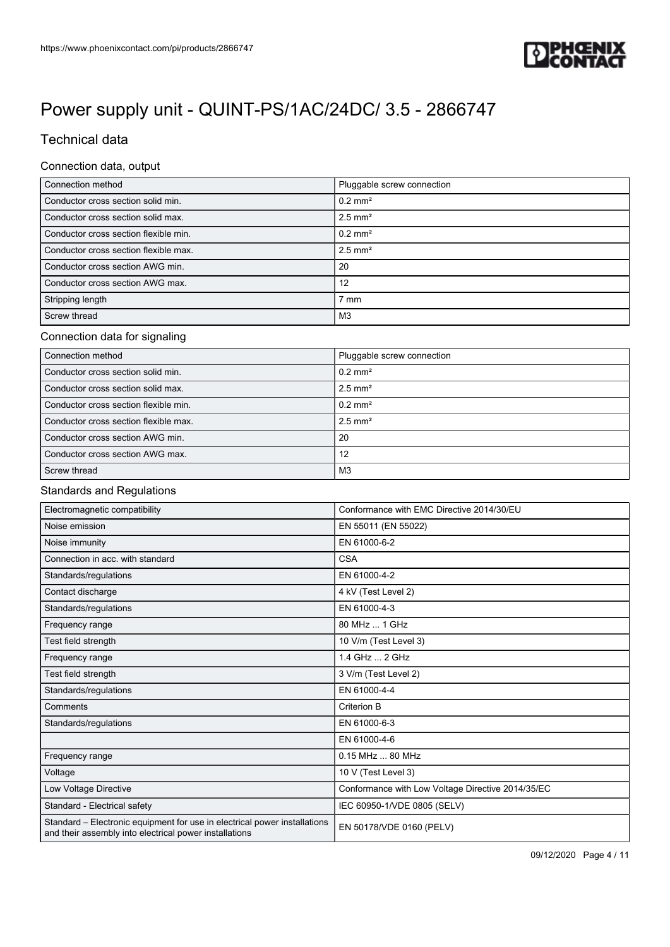![](_page_3_Picture_1.jpeg)

## Technical data

## Connection data, output

| Connection method                     | Pluggable screw connection |
|---------------------------------------|----------------------------|
| Conductor cross section solid min.    | $0.2$ mm <sup>2</sup>      |
| Conductor cross section solid max.    | $2.5$ mm <sup>2</sup>      |
| Conductor cross section flexible min. | $0.2$ mm <sup>2</sup>      |
| Conductor cross section flexible max. | $2.5$ mm <sup>2</sup>      |
| Conductor cross section AWG min.      | 20                         |
| Conductor cross section AWG max.      | 12                         |
| Stripping length                      | ' mm                       |
| Screw thread                          | M3                         |

## Connection data for signaling

| Connection method                     | Pluggable screw connection |
|---------------------------------------|----------------------------|
| Conductor cross section solid min.    | $0.2$ mm <sup>2</sup>      |
| Conductor cross section solid max.    | $2.5$ mm <sup>2</sup>      |
| Conductor cross section flexible min. | $0.2$ mm <sup>2</sup>      |
| Conductor cross section flexible max. | $2.5$ mm <sup>2</sup>      |
| Conductor cross section AWG min.      | -20                        |
| Conductor cross section AWG max.      | 12                         |
| Screw thread                          | M3                         |

## Standards and Regulations

| Electromagnetic compatibility                                                                                                       | Conformance with EMC Directive 2014/30/EU         |
|-------------------------------------------------------------------------------------------------------------------------------------|---------------------------------------------------|
| Noise emission                                                                                                                      | EN 55011 (EN 55022)                               |
| Noise immunity                                                                                                                      | EN 61000-6-2                                      |
| Connection in acc. with standard                                                                                                    | <b>CSA</b>                                        |
| Standards/regulations                                                                                                               | EN 61000-4-2                                      |
| Contact discharge                                                                                                                   | 4 kV (Test Level 2)                               |
| Standards/regulations                                                                                                               | EN 61000-4-3                                      |
| Frequency range                                                                                                                     | 80 MHz  1 GHz                                     |
| Test field strength                                                                                                                 | 10 V/m (Test Level 3)                             |
| Frequency range                                                                                                                     | 1.4 GHz  2 GHz                                    |
| Test field strength                                                                                                                 | 3 V/m (Test Level 2)                              |
| Standards/regulations                                                                                                               | EN 61000-4-4                                      |
| Comments                                                                                                                            | <b>Criterion B</b>                                |
| Standards/regulations                                                                                                               | EN 61000-6-3                                      |
|                                                                                                                                     | EN 61000-4-6                                      |
| Frequency range                                                                                                                     | 0.15 MHz  80 MHz                                  |
| Voltage                                                                                                                             | 10 V (Test Level 3)                               |
| Low Voltage Directive                                                                                                               | Conformance with Low Voltage Directive 2014/35/EC |
| Standard - Electrical safety                                                                                                        | IEC 60950-1/VDE 0805 (SELV)                       |
| Standard – Electronic equipment for use in electrical power installations<br>and their assembly into electrical power installations | EN 50178/VDE 0160 (PELV)                          |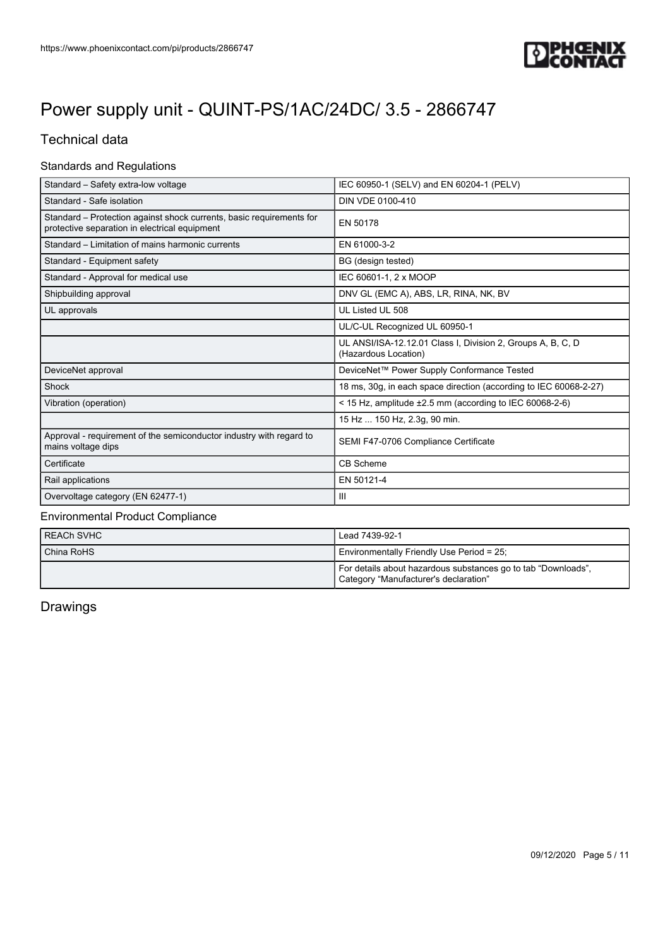![](_page_4_Picture_1.jpeg)

## Technical data

## Standards and Regulations

| Standard - Safety extra-low voltage                                                                                   | IEC 60950-1 (SELV) and EN 60204-1 (PELV)                                            |
|-----------------------------------------------------------------------------------------------------------------------|-------------------------------------------------------------------------------------|
| Standard - Safe isolation                                                                                             | DIN VDE 0100-410                                                                    |
| Standard – Protection against shock currents, basic requirements for<br>protective separation in electrical equipment | EN 50178                                                                            |
| Standard – Limitation of mains harmonic currents                                                                      | EN 61000-3-2                                                                        |
| Standard - Equipment safety                                                                                           | BG (design tested)                                                                  |
| Standard - Approval for medical use                                                                                   | IEC 60601-1, 2 x MOOP                                                               |
| Shipbuilding approval                                                                                                 | DNV GL (EMC A), ABS, LR, RINA, NK, BV                                               |
| UL approvals                                                                                                          | UL Listed UL 508                                                                    |
|                                                                                                                       | UL/C-UL Recognized UL 60950-1                                                       |
|                                                                                                                       | UL ANSI/ISA-12.12.01 Class I, Division 2, Groups A, B, C, D<br>(Hazardous Location) |
| DeviceNet approval                                                                                                    | DeviceNet™ Power Supply Conformance Tested                                          |
| Shock                                                                                                                 | 18 ms, 30g, in each space direction (according to IEC 60068-2-27)                   |
| Vibration (operation)                                                                                                 | < 15 Hz, amplitude $\pm 2.5$ mm (according to IEC 60068-2-6)                        |
|                                                                                                                       | 15 Hz  150 Hz, 2.3g, 90 min.                                                        |
| Approval - requirement of the semiconductor industry with regard to<br>mains voltage dips                             | SEMI F47-0706 Compliance Certificate                                                |
| Certificate                                                                                                           | <b>CB Scheme</b>                                                                    |
| Rail applications                                                                                                     | EN 50121-4                                                                          |
| Overvoltage category (EN 62477-1)                                                                                     | $\mathbf{III}$                                                                      |

## Environmental Product Compliance

| REACh SVHC | Lead 7439-92-1                                                                                         |
|------------|--------------------------------------------------------------------------------------------------------|
| China RoHS | Environmentally Friendly Use Period = 25;                                                              |
|            | For details about hazardous substances go to tab "Downloads",<br>Category "Manufacturer's declaration" |

Drawings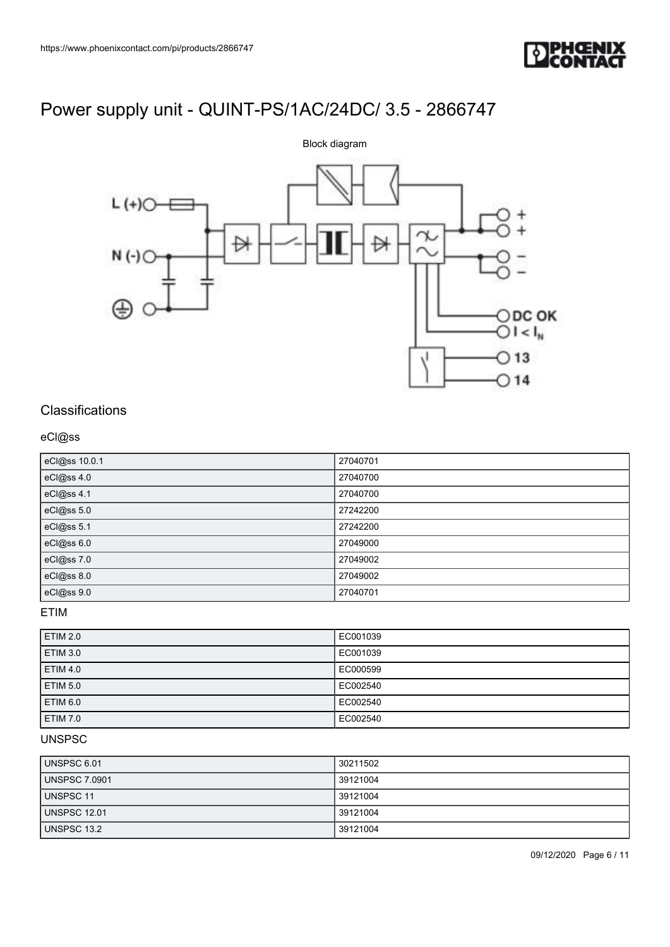![](_page_5_Picture_1.jpeg)

![](_page_5_Figure_3.jpeg)

## **Classifications**

## eCl@ss

| eCl@ss 10.0.1 | 27040701 |
|---------------|----------|
| eCl@ss 4.0    | 27040700 |
| eCl@ss 4.1    | 27040700 |
| eCl@ss 5.0    | 27242200 |
| eCl@ss 5.1    | 27242200 |
| eCl@ss 6.0    | 27049000 |
| eCl@ss 7.0    | 27049002 |
| eCl@ss 8.0    | 27049002 |
| eCl@ss 9.0    | 27040701 |

## ETIM

| <b>ETIM 2.0</b> | EC001039 |
|-----------------|----------|
| <b>ETIM 3.0</b> | EC001039 |
| <b>ETIM 4.0</b> | EC000599 |
| <b>ETIM 5.0</b> | EC002540 |
| ETIM 6.0        | EC002540 |
| <b>ETIM 7.0</b> | EC002540 |

## UNSPSC

| UNSPSC 6.01      | 30211502 |
|------------------|----------|
| UNSPSC 7.0901    | 39121004 |
| <b>UNSPSC 11</b> | 39121004 |
| UNSPSC 12.01     | 39121004 |
| UNSPSC 13.2      | 39121004 |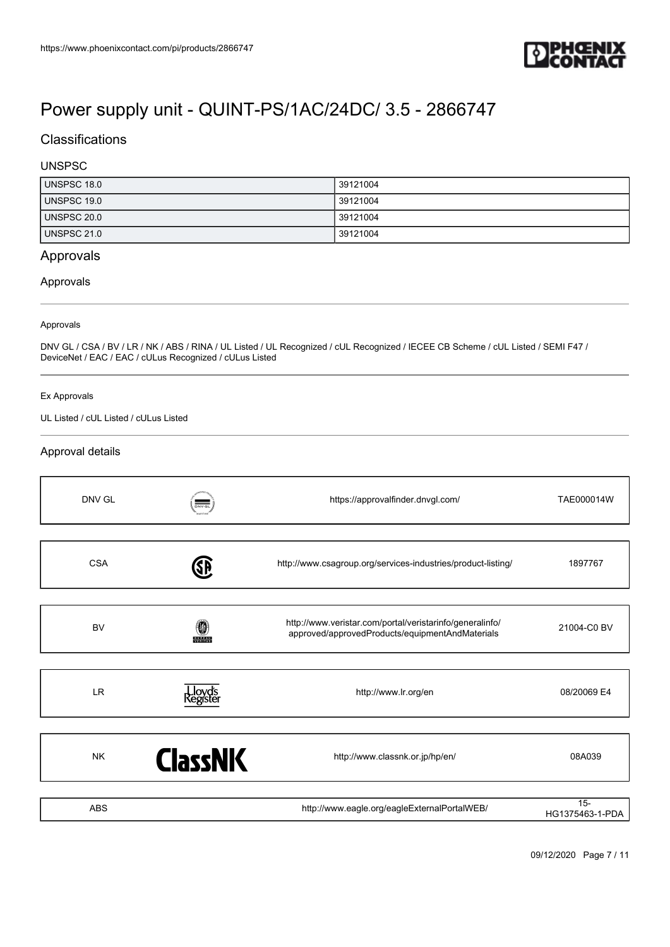![](_page_6_Picture_1.jpeg)

## **Classifications**

## UNSPSC

| UNSPSC 18.0 | 39121004 |
|-------------|----------|
| UNSPSC 19.0 | 39121004 |
| UNSPSC 20.0 | 39121004 |
| UNSPSC 21.0 | 39121004 |

## Approvals

## Approvals

#### Approvals

DNV GL / CSA / BV / LR / NK / ABS / RINA / UL Listed / UL Recognized / cUL Recognized / IECEE CB Scheme / cUL Listed / SEMI F47 / DeviceNet / EAC / EAC / cULus Recognized / cULus Listed

#### Ex Approvals

UL Listed / cUL Listed / cULus Listed

## Approval details

| DNV GL     | $\overline{\text{Div}\cdot\text{GL}}$ | https://approvalfinder.dnvgl.com/                                                                           | TAE000014W                |
|------------|---------------------------------------|-------------------------------------------------------------------------------------------------------------|---------------------------|
| <b>CSA</b> | SP                                    | http://www.csagroup.org/services-industries/product-listing/                                                | 1897767                   |
| <b>BV</b>  | 0<br><b>BUREAU</b>                    | http://www.veristar.com/portal/veristarinfo/generalinfo/<br>approved/approvedProducts/equipmentAndMaterials | 21004-C0 BV               |
| <b>LR</b>  | Lloyd's<br>{egister                   | http://www.lr.org/en                                                                                        | 08/20069 E4               |
| <b>NK</b>  | <b>ClassNK</b>                        | http://www.classnk.or.jp/hp/en/                                                                             | 08A039                    |
| <b>ABS</b> |                                       | http://www.eagle.org/eagleExternalPortalWEB/                                                                | $15 -$<br>HG1375463-1-PDA |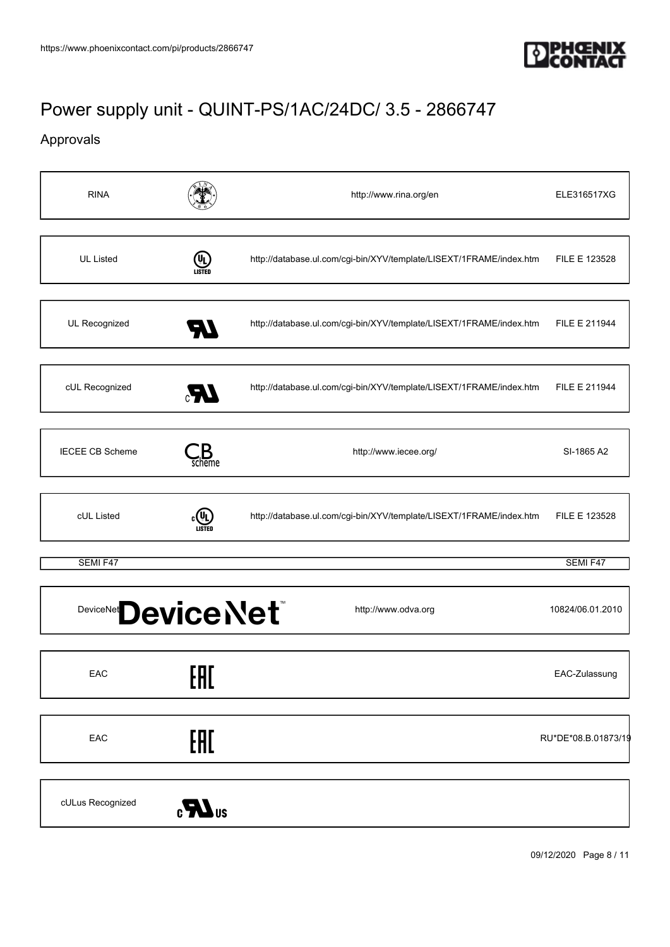![](_page_7_Picture_1.jpeg)

## Approvals

| <b>RINA</b>                           |                                 | http://www.rina.org/en                                              | ELE316517XG         |
|---------------------------------------|---------------------------------|---------------------------------------------------------------------|---------------------|
| <b>UL Listed</b>                      | (U)<br>LISTED                   | http://database.ul.com/cgi-bin/XYV/template/LISEXT/1FRAME/index.htm | FILE E 123528       |
| UL Recognized                         | <b>AT</b>                       | http://database.ul.com/cgi-bin/XYV/template/LISEXT/1FRAME/index.htm | FILE E 211944       |
| cUL Recognized                        | UR.                             | http://database.ul.com/cgi-bin/XYV/template/LISEXT/1FRAME/index.htm | FILE E 211944       |
| <b>IECEE CB Scheme</b>                | $\mathcal{L}_{\mathsf{scheme}}$ | http://www.iecee.org/                                               | SI-1865 A2          |
| cUL Listed                            | $\epsilon$ (U)<br>LISTED        | http://database.ul.com/cgi-bin/XYV/template/LISEXT/1FRAME/index.htm | FILE E 123528       |
| SEMI F47                              |                                 |                                                                     | SEMI F47            |
| DeviceNet <sup>®</sup><br>Device Net® |                                 | http://www.odva.org                                                 | 10824/06.01.2010    |
| EAC                                   | EAC                             |                                                                     | EAC-Zulassung       |
| EAC                                   | EAL                             |                                                                     | RU*DE*08.B.01873/19 |
| cULus Recognized                      | $\sum_{s}$                      |                                                                     |                     |

09/12/2020 Page 8 / 11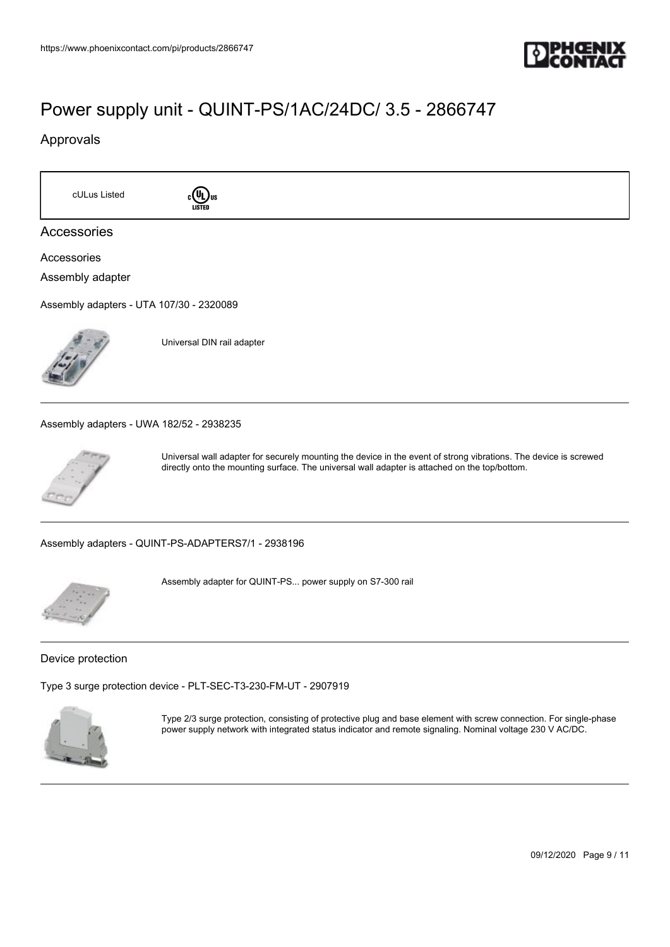![](_page_8_Picture_1.jpeg)

## Approvals

cULus Listed **c**<sup>(IL)</sup>us

![](_page_8_Picture_5.jpeg)

## Accessories

Accessories Assembly adapter

[Assembly adapters - UTA 107/30 - 2320089](https://www.phoenixcontact.com/de/products/2320089)

![](_page_8_Picture_9.jpeg)

Universal DIN rail adapter

[Assembly adapters - UWA 182/52 - 2938235](https://www.phoenixcontact.com/de/products/2938235)

![](_page_8_Picture_12.jpeg)

Universal wall adapter for securely mounting the device in the event of strong vibrations. The device is screwed directly onto the mounting surface. The universal wall adapter is attached on the top/bottom.

[Assembly adapters - QUINT-PS-ADAPTERS7/1 - 2938196](https://www.phoenixcontact.com/de/products/2938196)

![](_page_8_Picture_15.jpeg)

Assembly adapter for QUINT-PS... power supply on S7-300 rail

Device protection

[Type 3 surge protection device - PLT-SEC-T3-230-FM-UT - 2907919](https://www.phoenixcontact.com/de/products/2907919)

![](_page_8_Picture_19.jpeg)

Type 2/3 surge protection, consisting of protective plug and base element with screw connection. For single-phase power supply network with integrated status indicator and remote signaling. Nominal voltage 230 V AC/DC.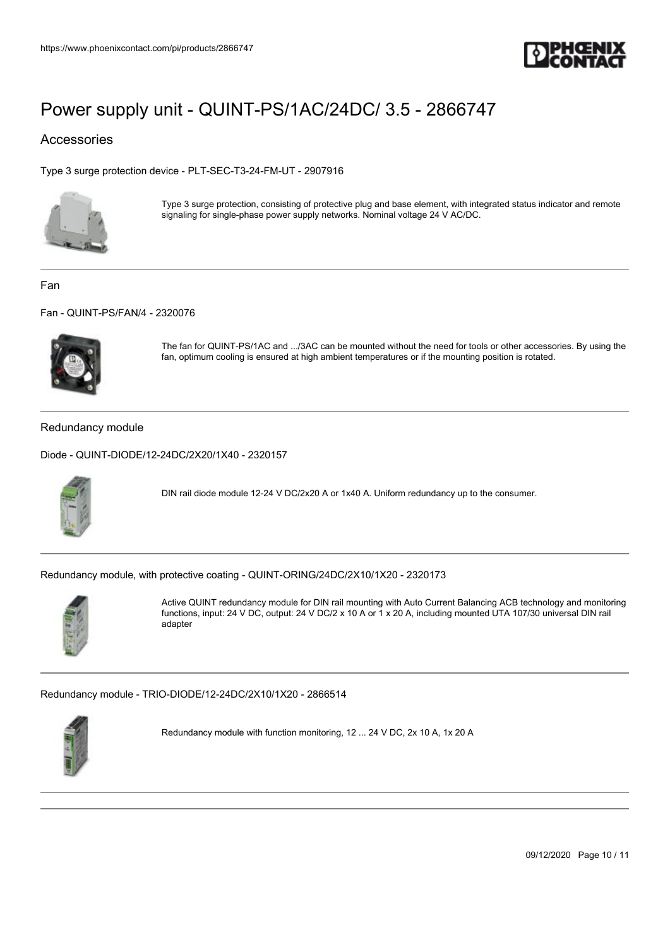![](_page_9_Picture_1.jpeg)

## Accessories

[Type 3 surge protection device - PLT-SEC-T3-24-FM-UT - 2907916](https://www.phoenixcontact.com/de/products/2907916)

![](_page_9_Picture_5.jpeg)

Type 3 surge protection, consisting of protective plug and base element, with integrated status indicator and remote signaling for single-phase power supply networks. Nominal voltage 24 V AC/DC.

Fan

[Fan - QUINT-PS/FAN/4 - 2320076](https://www.phoenixcontact.com/de/products/2320076)

![](_page_9_Picture_9.jpeg)

The fan for QUINT-PS/1AC and .../3AC can be mounted without the need for tools or other accessories. By using the fan, optimum cooling is ensured at high ambient temperatures or if the mounting position is rotated.

#### Redundancy module

[Diode - QUINT-DIODE/12-24DC/2X20/1X40 - 2320157](https://www.phoenixcontact.com/de/products/2320157)

![](_page_9_Picture_13.jpeg)

DIN rail diode module 12-24 V DC/2x20 A or 1x40 A. Uniform redundancy up to the consumer.

[Redundancy module, with protective coating - QUINT-ORING/24DC/2X10/1X20 - 2320173](https://www.phoenixcontact.com/de/products/2320173)

![](_page_9_Picture_16.jpeg)

Active QUINT redundancy module for DIN rail mounting with Auto Current Balancing ACB technology and monitoring functions, input: 24 V DC, output: 24 V DC/2 x 10 A or 1 x 20 A, including mounted UTA 107/30 universal DIN rail adapter

[Redundancy module - TRIO-DIODE/12-24DC/2X10/1X20 - 2866514](https://www.phoenixcontact.com/de/products/2866514)

![](_page_9_Picture_19.jpeg)

Redundancy module with function monitoring, 12 ... 24 V DC, 2x 10 A, 1x 20 A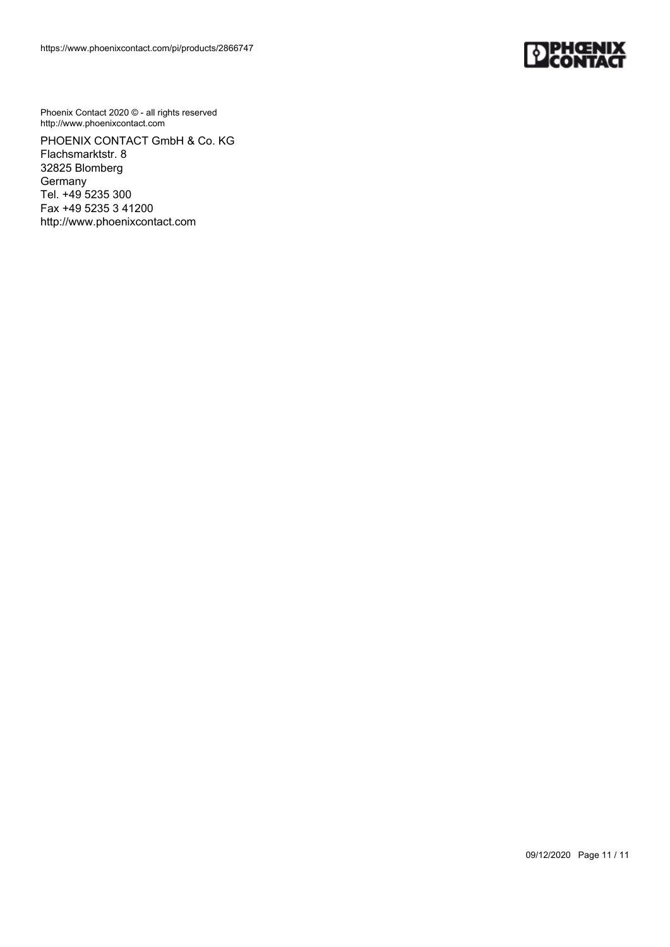![](_page_10_Picture_1.jpeg)

Phoenix Contact 2020 © - all rights reserved http://www.phoenixcontact.com

PHOENIX CONTACT GmbH & Co. KG Flachsmarktstr. 8 32825 Blomberg **Germany** Tel. +49 5235 300 Fax +49 5235 3 41200 http://www.phoenixcontact.com